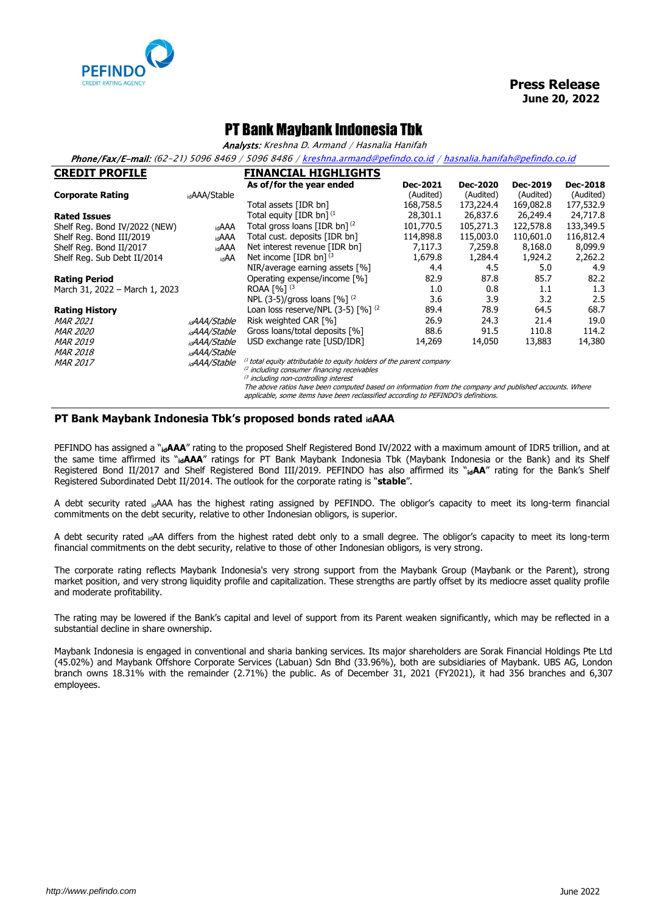

## PT Bank Maybank Indonesia Tbk

Analysts: Kreshna D. Armand / Hasnalia Hanifah

Phone/Fax/E-mail: (62-21) 5096 8469 / 5096 8486 [/ kreshna.armand@pefindo.co.id](mailto:kreshna.armand@pefindo.co.id) / hasnalia.hanifah@pefindo.co.id

| <b>CREDIT PROFILE</b>          |                          | <b>FINANCIAL HIGHLIGHTS</b>                                                |           |                 |           |           |
|--------------------------------|--------------------------|----------------------------------------------------------------------------|-----------|-----------------|-----------|-----------|
|                                |                          | As of/for the year ended                                                   | Dec-2021  | <b>Dec-2020</b> | Dec-2019  | Dec-2018  |
| <b>Corporate Rating</b>        | <sub>id</sub> AAA/Stable |                                                                            | (Audited) | (Audited)       | (Audited) | (Audited) |
|                                |                          | Total assets [IDR bn]                                                      | 168,758.5 | 173,224.4       | 169,082.8 | 177,532.9 |
| <b>Rated Issues</b>            |                          | Total equity [IDR bn] $^{(1)}$                                             | 28,301.1  | 26,837.6        | 26,249.4  | 24,717.8  |
| Shelf Reg. Bond IV/2022 (NEW)  | idAAA                    | Total gross loans [IDR bn] <sup>(2</sup>                                   | 101,770.5 | 105,271.3       | 122,578.8 | 133,349.5 |
| Shelf Reg. Bond III/2019       | idAAA                    | Total cust. deposits [IDR bn]                                              | 114,898.8 | 115,003.0       | 110,601.0 | 116,812.4 |
| Shelf Reg. Bond II/2017        | idAAA                    | Net interest revenue [IDR bn]                                              | 7,117.3   | 7,259.8         | 8,168.0   | 8,099.9   |
| Shelf Reg. Sub Debt II/2014    | idAA                     | Net income [IDR bn] $(3)$                                                  | 1,679.8   | 1,284.4         | 1,924.2   | 2,262.2   |
|                                |                          | NIR/average earning assets [%]                                             | 4.4       | 4.5             | 5.0       | 4.9       |
| <b>Rating Period</b>           |                          | Operating expense/income [%]                                               | 82.9      | 87.8            | 85.7      | 82.2      |
| March 31, 2022 - March 1, 2023 |                          | ROAA [%] <sup>(3</sup>                                                     | 1.0       | 0.8             | 1.1       | 1.3       |
|                                |                          | NPL (3-5)/gross loans $[%]$ <sup>(2</sup> )                                | 3.6       | 3.9             | 3.2       | 2.5       |
| <b>Rating History</b>          |                          | Loan loss reserve/NPL $(3-5)$ $\lceil \% \rceil$ $(2)$                     | 89.4      | 78.9            | 64.5      | 68.7      |
| <b>MAR 2021</b>                | <sub>id</sub> AAA/Stable | Risk weighted CAR [%]                                                      | 26.9      | 24.3            | 21.4      | 19.0      |
| <i>MAR 2020</i>                | <sub>id</sub> AAA/Stable | Gross loans/total deposits [%]                                             | 88.6      | 91.5            | 110.8     | 114.2     |
| <b>MAR 2019</b>                | <sub>id</sub> AAA/Stable | USD exchange rate [USD/IDR]                                                | 14,269    | 14,050          | 13,883    | 14,380    |
| <i>MAR 2018</i>                | <sub>id</sub> AAA/Stable |                                                                            |           |                 |           |           |
| <b>MAR 2017</b>                | <sub>id</sub> AAA/Stable | $^{(1)}$ total equity attributable to equity holders of the parent company |           |                 |           |           |

<sup>(2</sup> including consumer financing receivables

<sup>(3</sup> including non-controlling interest The above ratios have been computed based on information from the company and published accounts. Where

applicable, some items have been reclassified according to PEFINDO's definitions.

## **PT Bank Maybank Indonesia Tbk's proposed bonds rated idAAA**

PEFINDO has assigned a "id**AAA**" rating to the proposed Shelf Registered Bond IV/2022 with a maximum amount of IDR5 trillion, and at the same time affirmed its "**idAAA**" ratings for PT Bank Maybank Indonesia Tbk (Maybank Indonesia or the Bank) and its Shelf Registered Bond II/2017 and Shelf Registered Bond III/2019. PEFINDO has also affirmed its "**idAA**" rating for the Bank's Shelf Registered Subordinated Debt II/2014. The outlook for the corporate rating is "**stable**".

A debt security rated idAAA has the highest rating assigned by PEFINDO. The obligor's capacity to meet its long-term financial commitments on the debt security, relative to other Indonesian obligors, is superior.

A debt security rated idAA differs from the highest rated debt only to a small degree. The obligor's capacity to meet its long-term financial commitments on the debt security, relative to those of other Indonesian obligors, is very strong.

The corporate rating reflects Maybank Indonesia's very strong support from the Maybank Group (Maybank or the Parent), strong market position, and very strong liquidity profile and capitalization. These strengths are partly offset by its mediocre asset quality profile and moderate profitability.

The rating may be lowered if the Bank's capital and level of support from its Parent weaken significantly, which may be reflected in a substantial decline in share ownership.

Maybank Indonesia is engaged in conventional and sharia banking services. Its major shareholders are Sorak Financial Holdings Pte Ltd (45.02%) and Maybank Offshore Corporate Services (Labuan) Sdn Bhd (33.96%), both are subsidiaries of Maybank. UBS AG, London branch owns 18.31% with the remainder (2.71%) the public. As of December 31, 2021 (FY2021), it had 356 branches and 6,307 employees.